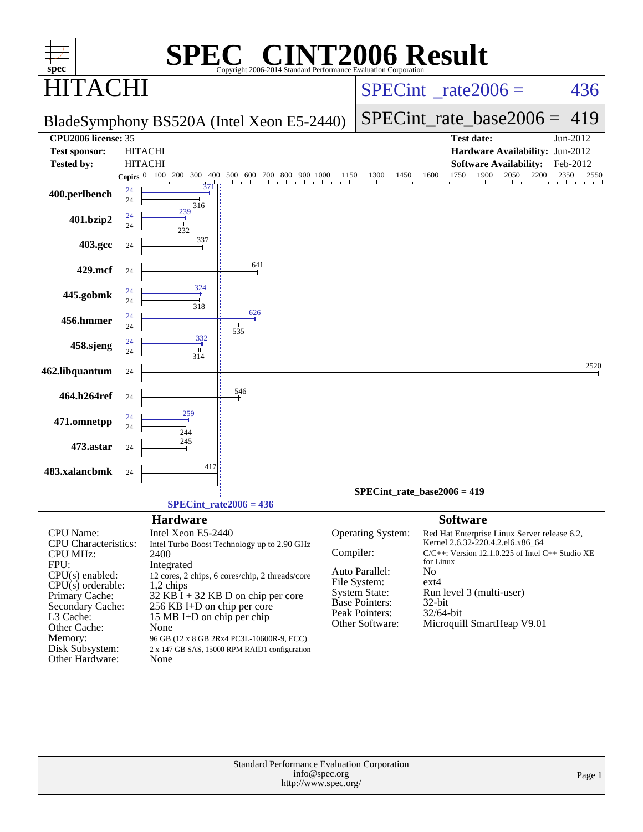| $spec^*$                                                                                                               |                          |                                                                                                                                                                                                               |                                 |                                       | $\mathbb{C}^{\scriptscriptstyle\textcircled{\tiny \rm{R}}}$ CINT2006 Result<br>Copyright 2006-2014 Standard Performance Evaluation Corporation |                                                                                                                                                                                                                                               |                                                                                                                                           |          |
|------------------------------------------------------------------------------------------------------------------------|--------------------------|---------------------------------------------------------------------------------------------------------------------------------------------------------------------------------------------------------------|---------------------------------|---------------------------------------|------------------------------------------------------------------------------------------------------------------------------------------------|-----------------------------------------------------------------------------------------------------------------------------------------------------------------------------------------------------------------------------------------------|-------------------------------------------------------------------------------------------------------------------------------------------|----------|
| $\mathbf{A}$ (                                                                                                         |                          |                                                                                                                                                                                                               |                                 |                                       |                                                                                                                                                |                                                                                                                                                                                                                                               | $SPECint^{\circ}$ rate $2006 =$                                                                                                           | 436      |
|                                                                                                                        |                          | BladeSymphony BS520A (Intel Xeon E5-2440)                                                                                                                                                                     |                                 |                                       |                                                                                                                                                |                                                                                                                                                                                                                                               | $SPECint_rate_base2006 = 419$                                                                                                             |          |
| CPU <sub>2006</sub> license: 35                                                                                        |                          |                                                                                                                                                                                                               |                                 |                                       |                                                                                                                                                |                                                                                                                                                                                                                                               | <b>Test date:</b>                                                                                                                         | Jun-2012 |
| <b>Test sponsor:</b>                                                                                                   |                          | <b>HITACHI</b>                                                                                                                                                                                                |                                 |                                       |                                                                                                                                                |                                                                                                                                                                                                                                               | Hardware Availability: Jun-2012                                                                                                           |          |
| <b>Tested by:</b>                                                                                                      |                          | <b>HITACHI</b>                                                                                                                                                                                                |                                 |                                       |                                                                                                                                                |                                                                                                                                                                                                                                               | <b>Software Availability:</b>                                                                                                             | Feb-2012 |
| 400.perlbench                                                                                                          | Copies $ 0 $<br>24<br>24 | 100 200 300<br>400<br>$\frac{1}{3}7$<br>316                                                                                                                                                                   | 500 600 700 800<br>$\mathbf{I}$ | 900 1000                              | 1150<br>1300<br>1450<br>and the<br>and the ac-                                                                                                 | 1750<br>1600<br>and and the second control of the second second the second second the second second the second second the second second second the second second second second second second second second second second second second second | 1900<br>2050<br>2200                                                                                                                      | 2350     |
| 401.bzip2                                                                                                              | 24<br>24                 | 239<br>232                                                                                                                                                                                                    |                                 |                                       |                                                                                                                                                |                                                                                                                                                                                                                                               |                                                                                                                                           |          |
| 403.gcc                                                                                                                | 24                       | 337                                                                                                                                                                                                           |                                 |                                       |                                                                                                                                                |                                                                                                                                                                                                                                               |                                                                                                                                           |          |
| 429.mcf                                                                                                                | 24                       |                                                                                                                                                                                                               | 641                             |                                       |                                                                                                                                                |                                                                                                                                                                                                                                               |                                                                                                                                           |          |
| 445.gobmk                                                                                                              | 24<br>24                 | 324<br>318                                                                                                                                                                                                    |                                 |                                       |                                                                                                                                                |                                                                                                                                                                                                                                               |                                                                                                                                           |          |
| 456.hmmer                                                                                                              | 24<br>24                 |                                                                                                                                                                                                               | 626<br>535                      |                                       |                                                                                                                                                |                                                                                                                                                                                                                                               |                                                                                                                                           |          |
| 458.sjeng                                                                                                              | 24<br>24                 | 332<br>314                                                                                                                                                                                                    |                                 |                                       |                                                                                                                                                |                                                                                                                                                                                                                                               |                                                                                                                                           |          |
| 462.libquantum                                                                                                         | 24                       |                                                                                                                                                                                                               |                                 |                                       |                                                                                                                                                |                                                                                                                                                                                                                                               |                                                                                                                                           | 2520     |
| 464.h264ref                                                                                                            | 24                       |                                                                                                                                                                                                               | 546                             |                                       |                                                                                                                                                |                                                                                                                                                                                                                                               |                                                                                                                                           |          |
| 471.omnetpp                                                                                                            | 24<br>24                 | 259<br>244                                                                                                                                                                                                    |                                 |                                       |                                                                                                                                                |                                                                                                                                                                                                                                               |                                                                                                                                           |          |
| 473.astar                                                                                                              | 24                       | 245                                                                                                                                                                                                           |                                 |                                       |                                                                                                                                                |                                                                                                                                                                                                                                               |                                                                                                                                           |          |
| 483.xalancbmk                                                                                                          | 24                       | 417                                                                                                                                                                                                           |                                 |                                       |                                                                                                                                                |                                                                                                                                                                                                                                               |                                                                                                                                           |          |
|                                                                                                                        |                          |                                                                                                                                                                                                               | $SPECint_rate2006 = 436$        |                                       | SPECint rate base $2006 = 419$                                                                                                                 |                                                                                                                                                                                                                                               |                                                                                                                                           |          |
|                                                                                                                        |                          | <b>Hardware</b>                                                                                                                                                                                               |                                 |                                       |                                                                                                                                                |                                                                                                                                                                                                                                               | <b>Software</b>                                                                                                                           |          |
| <b>CPU</b> Name:<br><b>CPU</b> Characteristics:<br><b>CPU MHz:</b><br>FPU:<br>$CPU(s)$ enabled:<br>$CPU(s)$ orderable: |                          | Intel Xeon E5-2440<br>Intel Turbo Boost Technology up to 2.90 GHz<br>2400<br>Integrated<br>12 cores, 2 chips, 6 cores/chip, 2 threads/core<br>1,2 chips                                                       |                                 |                                       | Operating System:<br>Compiler:<br>Auto Parallel:<br>File System:                                                                               | for Linux<br>No<br>$ext{4}$                                                                                                                                                                                                                   | Red Hat Enterprise Linux Server release 6.2,<br>Kernel 2.6.32-220.4.2.el6.x86_64<br>$C/C++$ : Version 12.1.0.225 of Intel $C++$ Studio XE |          |
| Primary Cache:<br>Secondary Cache:<br>L3 Cache:<br>Other Cache:<br>Memory:<br>Disk Subsystem:<br>Other Hardware:       |                          | 32 KB I + 32 KB D on chip per core<br>256 KB I+D on chip per core<br>15 MB I+D on chip per chip<br>None<br>96 GB (12 x 8 GB 2Rx4 PC3L-10600R-9, ECC)<br>2 x 147 GB SAS, 15000 RPM RAID1 configuration<br>None |                                 |                                       | <b>System State:</b><br><b>Base Pointers:</b><br>Peak Pointers:<br>Other Software:                                                             | 32-bit<br>32/64-bit                                                                                                                                                                                                                           | Run level 3 (multi-user)<br>Microquill SmartHeap V9.01                                                                                    |          |
|                                                                                                                        |                          |                                                                                                                                                                                                               |                                 | info@spec.org<br>http://www.spec.org/ | Standard Performance Evaluation Corporation                                                                                                    |                                                                                                                                                                                                                                               |                                                                                                                                           | Page 1   |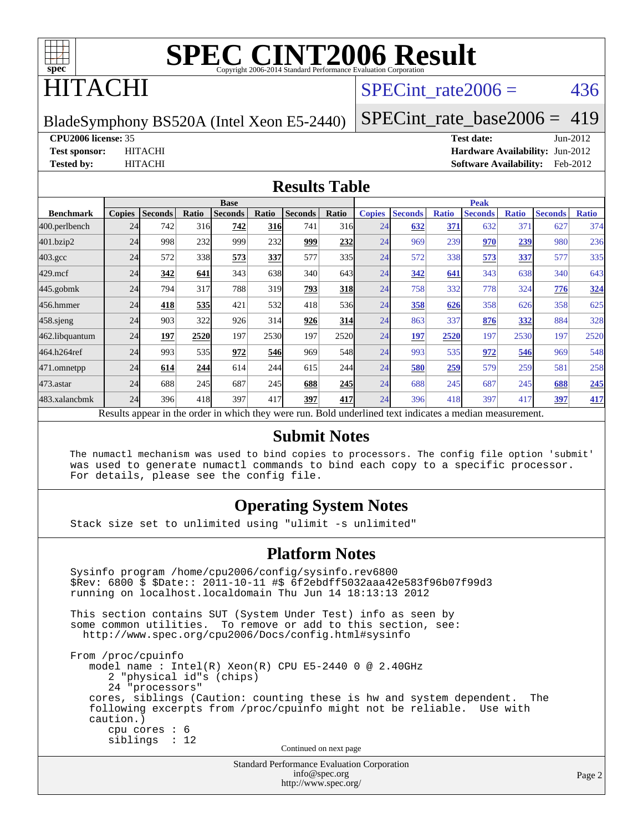

## ITACHI

### SPECint rate $2006 = 436$

BladeSymphony BS520A (Intel Xeon E5-2440)

[SPECint\\_rate\\_base2006 =](http://www.spec.org/auto/cpu2006/Docs/result-fields.html#SPECintratebase2006) 419

**[CPU2006 license:](http://www.spec.org/auto/cpu2006/Docs/result-fields.html#CPU2006license)** 35 **[Test date:](http://www.spec.org/auto/cpu2006/Docs/result-fields.html#Testdate)** Jun-2012

**[Test sponsor:](http://www.spec.org/auto/cpu2006/Docs/result-fields.html#Testsponsor)** HITACHI **[Hardware Availability:](http://www.spec.org/auto/cpu2006/Docs/result-fields.html#HardwareAvailability)** Jun-2012 **[Tested by:](http://www.spec.org/auto/cpu2006/Docs/result-fields.html#Testedby)** HITACHI **[Software Availability:](http://www.spec.org/auto/cpu2006/Docs/result-fields.html#SoftwareAvailability)** Feb-2012

#### **[Results Table](http://www.spec.org/auto/cpu2006/Docs/result-fields.html#ResultsTable)**

|                    | <b>Base</b>                                                                                              |                |       |                |            |                |            | <b>Peak</b>   |                |              |                |              |                |              |
|--------------------|----------------------------------------------------------------------------------------------------------|----------------|-------|----------------|------------|----------------|------------|---------------|----------------|--------------|----------------|--------------|----------------|--------------|
| <b>Benchmark</b>   | <b>Copies</b>                                                                                            | <b>Seconds</b> | Ratio | <b>Seconds</b> | Ratio      | <b>Seconds</b> | Ratio      | <b>Copies</b> | <b>Seconds</b> | <b>Ratio</b> | <b>Seconds</b> | <b>Ratio</b> | <b>Seconds</b> | <b>Ratio</b> |
| 400.perlbench      | 24                                                                                                       | 742            | 316   | 742            | <b>316</b> | 741            | 316        | 24            | 632            | 371          | 632            | 371          | 627            | 374          |
| 401.bzip2          | 24                                                                                                       | 998            | 232   | 999            | 232        | 999            | 232        | 24            | 969            | 239          | 970            | 239          | 980            | 236          |
| $403.\mathrm{gcc}$ | 24                                                                                                       | 572            | 338   | 573            | 337        | 577            | 335        | 24            | 572            | 338          | 573            | 337          | 577            | 335          |
| $429$ .mcf         | 24                                                                                                       | 342            | 641   | 343            | 638        | 340            | 643I       | 24            | 342            | 641          | 343            | 638          | 340            | 643          |
| $445$ .gobmk       | 24                                                                                                       | 794            | 317   | 788            | 319        | 793            | <b>318</b> | 24            | 758            | 332          | 778            | 324          | 776            | 324          |
| 456.hmmer          | 24                                                                                                       | 418            | 535   | 421            | 532        | 418            | 536        | 24            | 358            | 626          | 358            | 626          | 358            | 625          |
| $458$ .sjeng       | 24                                                                                                       | 903            | 322   | 926            | 314        | 926            | 314        | 24            | 863            | 337          | 876            | 332          | 884            | 328          |
| 462.libquantum     | 24                                                                                                       | 197            | 2520  | 197            | 2530       | 197            | 2520       | 24            | <u>197</u>     | 2520         | 197            | 2530         | 197            | 2520         |
| 464.h264ref        | 24                                                                                                       | 993            | 535   | 972            | 546        | 969            | 548        | 24            | 993            | 535          | 972            | 546          | 969            | 548          |
| 471.omnetpp        | 24                                                                                                       | 614            | 244   | 614            | 244        | 615            | 244        | 24            | 580            | 259          | 579            | 259          | 581            | 258          |
| $473$ . astar      | 24                                                                                                       | 688            | 245   | 687            | 245        | 688            | <b>245</b> | 24            | 688            | 245          | 687            | 245          | 688            | 245          |
| 483.xalancbmk      | 24                                                                                                       | 396            | 418   | 397            | 417        | 397            | 417        | 24            | 396            | 418          | 397            | 417          | 397            | 417          |
|                    | Results appear in the order in which they were run. Bold underlined text indicates a median measurement. |                |       |                |            |                |            |               |                |              |                |              |                |              |

#### **[Submit Notes](http://www.spec.org/auto/cpu2006/Docs/result-fields.html#SubmitNotes)**

 The numactl mechanism was used to bind copies to processors. The config file option 'submit' was used to generate numactl commands to bind each copy to a specific processor. For details, please see the config file.

#### **[Operating System Notes](http://www.spec.org/auto/cpu2006/Docs/result-fields.html#OperatingSystemNotes)**

Stack size set to unlimited using "ulimit -s unlimited"

#### **[Platform Notes](http://www.spec.org/auto/cpu2006/Docs/result-fields.html#PlatformNotes)**

 Sysinfo program /home/cpu2006/config/sysinfo.rev6800 \$Rev: 6800 \$ \$Date:: 2011-10-11 #\$ 6f2ebdff5032aaa42e583f96b07f99d3 running on localhost.localdomain Thu Jun 14 18:13:13 2012 This section contains SUT (System Under Test) info as seen by some common utilities. To remove or add to this section, see: <http://www.spec.org/cpu2006/Docs/config.html#sysinfo> From /proc/cpuinfo model name : Intel(R) Xeon(R) CPU E5-2440 0 @ 2.40GHz 2 "physical id"s (chips) 24 "processors" cores, siblings (Caution: counting these is hw and system dependent. The following excerpts from /proc/cpuinfo might not be reliable. Use with caution.) cpu cores : 6 siblings : 12 Continued on next page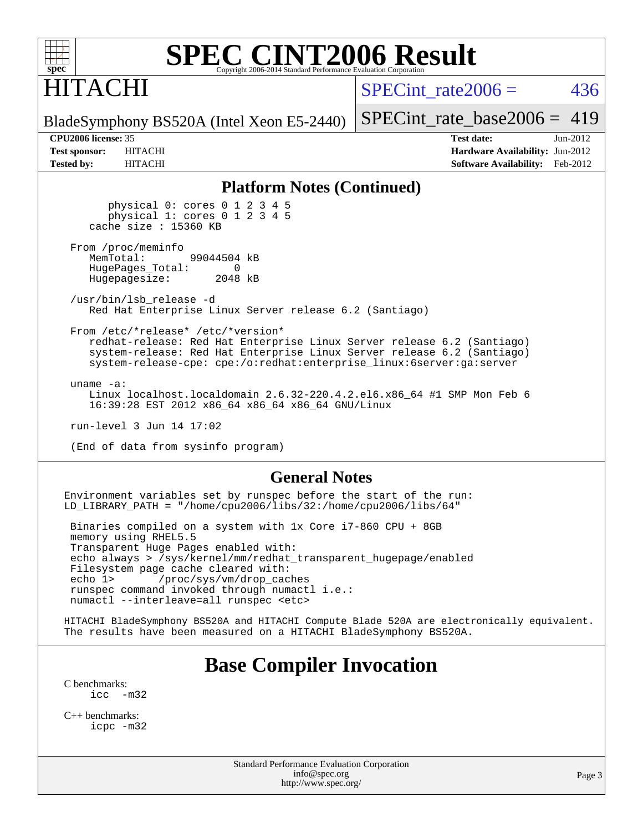

ITACHI

SPECint rate $2006 = 436$ 

[SPECint\\_rate\\_base2006 =](http://www.spec.org/auto/cpu2006/Docs/result-fields.html#SPECintratebase2006) 419

BladeSymphony BS520A (Intel Xeon E5-2440)

**[CPU2006 license:](http://www.spec.org/auto/cpu2006/Docs/result-fields.html#CPU2006license)** 35 **[Test date:](http://www.spec.org/auto/cpu2006/Docs/result-fields.html#Testdate)** Jun-2012 **[Test sponsor:](http://www.spec.org/auto/cpu2006/Docs/result-fields.html#Testsponsor)** HITACHI **[Hardware Availability:](http://www.spec.org/auto/cpu2006/Docs/result-fields.html#HardwareAvailability)** Jun-2012 **[Tested by:](http://www.spec.org/auto/cpu2006/Docs/result-fields.html#Testedby)** HITACHI **[Software Availability:](http://www.spec.org/auto/cpu2006/Docs/result-fields.html#SoftwareAvailability)** Feb-2012

#### **[Platform Notes \(Continued\)](http://www.spec.org/auto/cpu2006/Docs/result-fields.html#PlatformNotes)**

 physical 0: cores 0 1 2 3 4 5 physical 1: cores 0 1 2 3 4 5 cache size : 15360 KB

From /proc/meminfo<br>MemTotal: 99044504 kB HugePages\_Total: 0<br>Hugepagesize: 2048 kB Hugepagesize:

 /usr/bin/lsb\_release -d Red Hat Enterprise Linux Server release 6.2 (Santiago)

From /etc/\*release\* /etc/\*version\*

 redhat-release: Red Hat Enterprise Linux Server release 6.2 (Santiago) system-release: Red Hat Enterprise Linux Server release 6.2 (Santiago) system-release-cpe: cpe:/o:redhat:enterprise\_linux:6server:ga:server

uname -a:

 Linux localhost.localdomain 2.6.32-220.4.2.el6.x86\_64 #1 SMP Mon Feb 6 16:39:28 EST 2012 x86\_64 x86\_64 x86\_64 GNU/Linux

run-level 3 Jun 14 17:02

(End of data from sysinfo program)

#### **[General Notes](http://www.spec.org/auto/cpu2006/Docs/result-fields.html#GeneralNotes)**

Environment variables set by runspec before the start of the run: LD\_LIBRARY\_PATH = "/home/cpu2006/libs/32:/home/cpu2006/libs/64"

 Binaries compiled on a system with 1x Core i7-860 CPU + 8GB memory using RHEL5.5 Transparent Huge Pages enabled with: echo always > /sys/kernel/mm/redhat\_transparent\_hugepage/enabled Filesystem page cache cleared with: echo 1> /proc/sys/vm/drop\_caches runspec command invoked through numactl i.e.: numactl --interleave=all runspec <etc>

HITACHI BladeSymphony BS520A and HITACHI Compute Blade 520A are electronically equivalent. The results have been measured on a HITACHI BladeSymphony BS520A.

### **[Base Compiler Invocation](http://www.spec.org/auto/cpu2006/Docs/result-fields.html#BaseCompilerInvocation)**

[C benchmarks](http://www.spec.org/auto/cpu2006/Docs/result-fields.html#Cbenchmarks):  $\text{icc}$   $-\text{m32}$ 

[C++ benchmarks:](http://www.spec.org/auto/cpu2006/Docs/result-fields.html#CXXbenchmarks) [icpc -m32](http://www.spec.org/cpu2006/results/res2012q3/cpu2006-20120619-23049.flags.html#user_CXXbase_intel_icpc_4e5a5ef1a53fd332b3c49e69c3330699)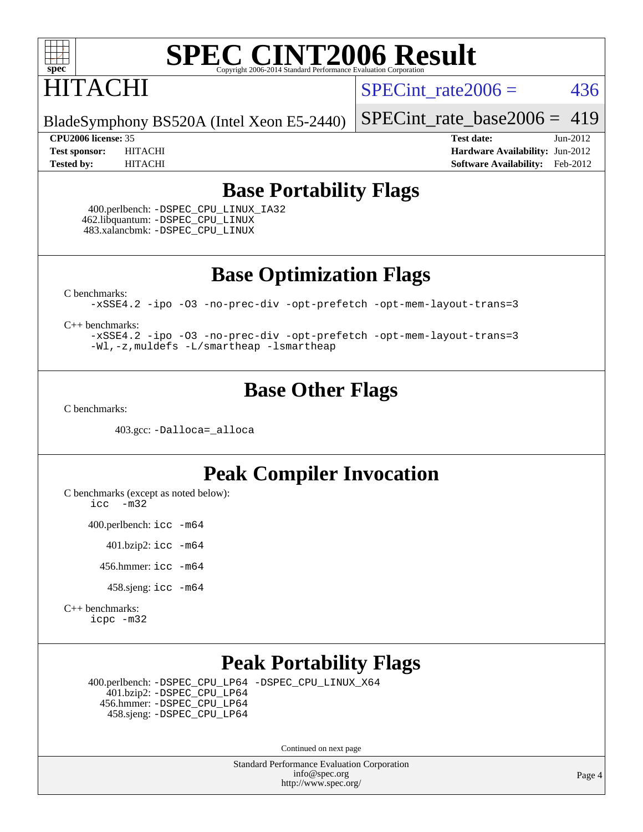

## HITACHI

SPECint rate $2006 = 436$ 

BladeSymphony BS520A (Intel Xeon E5-2440)

[SPECint\\_rate\\_base2006 =](http://www.spec.org/auto/cpu2006/Docs/result-fields.html#SPECintratebase2006) 419

**[CPU2006 license:](http://www.spec.org/auto/cpu2006/Docs/result-fields.html#CPU2006license)** 35 **[Test date:](http://www.spec.org/auto/cpu2006/Docs/result-fields.html#Testdate)** Jun-2012 **[Test sponsor:](http://www.spec.org/auto/cpu2006/Docs/result-fields.html#Testsponsor)** HITACHI **[Hardware Availability:](http://www.spec.org/auto/cpu2006/Docs/result-fields.html#HardwareAvailability)** Jun-2012 **[Tested by:](http://www.spec.org/auto/cpu2006/Docs/result-fields.html#Testedby)** HITACHI **[Software Availability:](http://www.spec.org/auto/cpu2006/Docs/result-fields.html#SoftwareAvailability)** Feb-2012

#### **[Base Portability Flags](http://www.spec.org/auto/cpu2006/Docs/result-fields.html#BasePortabilityFlags)**

 400.perlbench: [-DSPEC\\_CPU\\_LINUX\\_IA32](http://www.spec.org/cpu2006/results/res2012q3/cpu2006-20120619-23049.flags.html#b400.perlbench_baseCPORTABILITY_DSPEC_CPU_LINUX_IA32) 462.libquantum: [-DSPEC\\_CPU\\_LINUX](http://www.spec.org/cpu2006/results/res2012q3/cpu2006-20120619-23049.flags.html#b462.libquantum_baseCPORTABILITY_DSPEC_CPU_LINUX) 483.xalancbmk: [-DSPEC\\_CPU\\_LINUX](http://www.spec.org/cpu2006/results/res2012q3/cpu2006-20120619-23049.flags.html#b483.xalancbmk_baseCXXPORTABILITY_DSPEC_CPU_LINUX)

**[Base Optimization Flags](http://www.spec.org/auto/cpu2006/Docs/result-fields.html#BaseOptimizationFlags)**

[C benchmarks](http://www.spec.org/auto/cpu2006/Docs/result-fields.html#Cbenchmarks):

[-xSSE4.2](http://www.spec.org/cpu2006/results/res2012q3/cpu2006-20120619-23049.flags.html#user_CCbase_f-xSSE42_f91528193cf0b216347adb8b939d4107) [-ipo](http://www.spec.org/cpu2006/results/res2012q3/cpu2006-20120619-23049.flags.html#user_CCbase_f-ipo) [-O3](http://www.spec.org/cpu2006/results/res2012q3/cpu2006-20120619-23049.flags.html#user_CCbase_f-O3) [-no-prec-div](http://www.spec.org/cpu2006/results/res2012q3/cpu2006-20120619-23049.flags.html#user_CCbase_f-no-prec-div) [-opt-prefetch](http://www.spec.org/cpu2006/results/res2012q3/cpu2006-20120619-23049.flags.html#user_CCbase_f-opt-prefetch) [-opt-mem-layout-trans=3](http://www.spec.org/cpu2006/results/res2012q3/cpu2006-20120619-23049.flags.html#user_CCbase_f-opt-mem-layout-trans_a7b82ad4bd7abf52556d4961a2ae94d5)

[C++ benchmarks:](http://www.spec.org/auto/cpu2006/Docs/result-fields.html#CXXbenchmarks)

[-xSSE4.2](http://www.spec.org/cpu2006/results/res2012q3/cpu2006-20120619-23049.flags.html#user_CXXbase_f-xSSE42_f91528193cf0b216347adb8b939d4107) [-ipo](http://www.spec.org/cpu2006/results/res2012q3/cpu2006-20120619-23049.flags.html#user_CXXbase_f-ipo) [-O3](http://www.spec.org/cpu2006/results/res2012q3/cpu2006-20120619-23049.flags.html#user_CXXbase_f-O3) [-no-prec-div](http://www.spec.org/cpu2006/results/res2012q3/cpu2006-20120619-23049.flags.html#user_CXXbase_f-no-prec-div) [-opt-prefetch](http://www.spec.org/cpu2006/results/res2012q3/cpu2006-20120619-23049.flags.html#user_CXXbase_f-opt-prefetch) [-opt-mem-layout-trans=3](http://www.spec.org/cpu2006/results/res2012q3/cpu2006-20120619-23049.flags.html#user_CXXbase_f-opt-mem-layout-trans_a7b82ad4bd7abf52556d4961a2ae94d5) [-Wl,-z,muldefs](http://www.spec.org/cpu2006/results/res2012q3/cpu2006-20120619-23049.flags.html#user_CXXbase_link_force_multiple1_74079c344b956b9658436fd1b6dd3a8a) [-L/smartheap -lsmartheap](http://www.spec.org/cpu2006/results/res2012q3/cpu2006-20120619-23049.flags.html#user_CXXbase_SmartHeap_7c9e394a5779e1a7fec7c221e123830c)

### **[Base Other Flags](http://www.spec.org/auto/cpu2006/Docs/result-fields.html#BaseOtherFlags)**

[C benchmarks](http://www.spec.org/auto/cpu2006/Docs/result-fields.html#Cbenchmarks):

403.gcc: [-Dalloca=\\_alloca](http://www.spec.org/cpu2006/results/res2012q3/cpu2006-20120619-23049.flags.html#b403.gcc_baseEXTRA_CFLAGS_Dalloca_be3056838c12de2578596ca5467af7f3)

### **[Peak Compiler Invocation](http://www.spec.org/auto/cpu2006/Docs/result-fields.html#PeakCompilerInvocation)**

[C benchmarks \(except as noted below\)](http://www.spec.org/auto/cpu2006/Docs/result-fields.html#Cbenchmarksexceptasnotedbelow):

[icc -m32](http://www.spec.org/cpu2006/results/res2012q3/cpu2006-20120619-23049.flags.html#user_CCpeak_intel_icc_5ff4a39e364c98233615fdd38438c6f2)

400.perlbench: [icc -m64](http://www.spec.org/cpu2006/results/res2012q3/cpu2006-20120619-23049.flags.html#user_peakCCLD400_perlbench_intel_icc_64bit_bda6cc9af1fdbb0edc3795bac97ada53)

401.bzip2: [icc -m64](http://www.spec.org/cpu2006/results/res2012q3/cpu2006-20120619-23049.flags.html#user_peakCCLD401_bzip2_intel_icc_64bit_bda6cc9af1fdbb0edc3795bac97ada53)

456.hmmer: [icc -m64](http://www.spec.org/cpu2006/results/res2012q3/cpu2006-20120619-23049.flags.html#user_peakCCLD456_hmmer_intel_icc_64bit_bda6cc9af1fdbb0edc3795bac97ada53)

458.sjeng: [icc -m64](http://www.spec.org/cpu2006/results/res2012q3/cpu2006-20120619-23049.flags.html#user_peakCCLD458_sjeng_intel_icc_64bit_bda6cc9af1fdbb0edc3795bac97ada53)

[C++ benchmarks:](http://www.spec.org/auto/cpu2006/Docs/result-fields.html#CXXbenchmarks) [icpc -m32](http://www.spec.org/cpu2006/results/res2012q3/cpu2006-20120619-23049.flags.html#user_CXXpeak_intel_icpc_4e5a5ef1a53fd332b3c49e69c3330699)

### **[Peak Portability Flags](http://www.spec.org/auto/cpu2006/Docs/result-fields.html#PeakPortabilityFlags)**

 400.perlbench: [-DSPEC\\_CPU\\_LP64](http://www.spec.org/cpu2006/results/res2012q3/cpu2006-20120619-23049.flags.html#b400.perlbench_peakCPORTABILITY_DSPEC_CPU_LP64) [-DSPEC\\_CPU\\_LINUX\\_X64](http://www.spec.org/cpu2006/results/res2012q3/cpu2006-20120619-23049.flags.html#b400.perlbench_peakCPORTABILITY_DSPEC_CPU_LINUX_X64) 401.bzip2: [-DSPEC\\_CPU\\_LP64](http://www.spec.org/cpu2006/results/res2012q3/cpu2006-20120619-23049.flags.html#suite_peakCPORTABILITY401_bzip2_DSPEC_CPU_LP64) 456.hmmer: [-DSPEC\\_CPU\\_LP64](http://www.spec.org/cpu2006/results/res2012q3/cpu2006-20120619-23049.flags.html#suite_peakCPORTABILITY456_hmmer_DSPEC_CPU_LP64) 458.sjeng: [-DSPEC\\_CPU\\_LP64](http://www.spec.org/cpu2006/results/res2012q3/cpu2006-20120619-23049.flags.html#suite_peakCPORTABILITY458_sjeng_DSPEC_CPU_LP64)

Continued on next page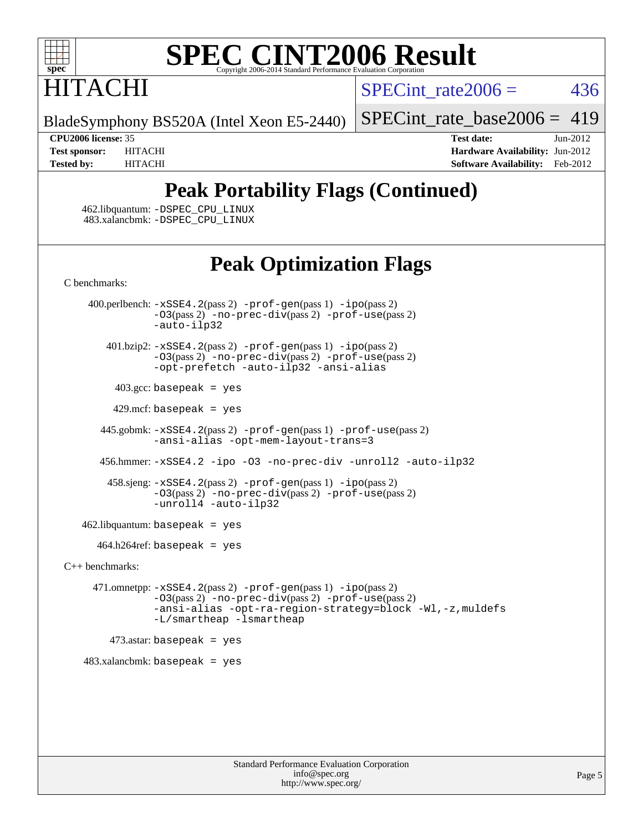

# **ITACHI**

SPECint rate $2006 = 436$ 

BladeSymphony BS520A (Intel Xeon E5-2440)

[SPECint\\_rate\\_base2006 =](http://www.spec.org/auto/cpu2006/Docs/result-fields.html#SPECintratebase2006) 419

**[CPU2006 license:](http://www.spec.org/auto/cpu2006/Docs/result-fields.html#CPU2006license)** 35 **[Test date:](http://www.spec.org/auto/cpu2006/Docs/result-fields.html#Testdate)** Jun-2012 **[Test sponsor:](http://www.spec.org/auto/cpu2006/Docs/result-fields.html#Testsponsor)** HITACHI **[Hardware Availability:](http://www.spec.org/auto/cpu2006/Docs/result-fields.html#HardwareAvailability)** Jun-2012 **[Tested by:](http://www.spec.org/auto/cpu2006/Docs/result-fields.html#Testedby)** HITACHI **[Software Availability:](http://www.spec.org/auto/cpu2006/Docs/result-fields.html#SoftwareAvailability)** Feb-2012

## **[Peak Portability Flags \(Continued\)](http://www.spec.org/auto/cpu2006/Docs/result-fields.html#PeakPortabilityFlags)**

 462.libquantum: [-DSPEC\\_CPU\\_LINUX](http://www.spec.org/cpu2006/results/res2012q3/cpu2006-20120619-23049.flags.html#b462.libquantum_peakCPORTABILITY_DSPEC_CPU_LINUX) 483.xalancbmk: [-DSPEC\\_CPU\\_LINUX](http://www.spec.org/cpu2006/results/res2012q3/cpu2006-20120619-23049.flags.html#b483.xalancbmk_peakCXXPORTABILITY_DSPEC_CPU_LINUX)

## **[Peak Optimization Flags](http://www.spec.org/auto/cpu2006/Docs/result-fields.html#PeakOptimizationFlags)**

[C benchmarks](http://www.spec.org/auto/cpu2006/Docs/result-fields.html#Cbenchmarks):

 400.perlbench: [-xSSE4.2](http://www.spec.org/cpu2006/results/res2012q3/cpu2006-20120619-23049.flags.html#user_peakPASS2_CFLAGSPASS2_LDCFLAGS400_perlbench_f-xSSE42_f91528193cf0b216347adb8b939d4107)(pass 2) [-prof-gen](http://www.spec.org/cpu2006/results/res2012q3/cpu2006-20120619-23049.flags.html#user_peakPASS1_CFLAGSPASS1_LDCFLAGS400_perlbench_prof_gen_e43856698f6ca7b7e442dfd80e94a8fc)(pass 1) [-ipo](http://www.spec.org/cpu2006/results/res2012q3/cpu2006-20120619-23049.flags.html#user_peakPASS2_CFLAGSPASS2_LDCFLAGS400_perlbench_f-ipo)(pass 2) [-O3](http://www.spec.org/cpu2006/results/res2012q3/cpu2006-20120619-23049.flags.html#user_peakPASS2_CFLAGSPASS2_LDCFLAGS400_perlbench_f-O3)(pass 2) [-no-prec-div](http://www.spec.org/cpu2006/results/res2012q3/cpu2006-20120619-23049.flags.html#user_peakPASS2_CFLAGSPASS2_LDCFLAGS400_perlbench_f-no-prec-div)(pass 2) [-prof-use](http://www.spec.org/cpu2006/results/res2012q3/cpu2006-20120619-23049.flags.html#user_peakPASS2_CFLAGSPASS2_LDCFLAGS400_perlbench_prof_use_bccf7792157ff70d64e32fe3e1250b55)(pass 2) [-auto-ilp32](http://www.spec.org/cpu2006/results/res2012q3/cpu2006-20120619-23049.flags.html#user_peakCOPTIMIZE400_perlbench_f-auto-ilp32) 401.bzip2: [-xSSE4.2](http://www.spec.org/cpu2006/results/res2012q3/cpu2006-20120619-23049.flags.html#user_peakPASS2_CFLAGSPASS2_LDCFLAGS401_bzip2_f-xSSE42_f91528193cf0b216347adb8b939d4107)(pass 2) [-prof-gen](http://www.spec.org/cpu2006/results/res2012q3/cpu2006-20120619-23049.flags.html#user_peakPASS1_CFLAGSPASS1_LDCFLAGS401_bzip2_prof_gen_e43856698f6ca7b7e442dfd80e94a8fc)(pass 1) [-ipo](http://www.spec.org/cpu2006/results/res2012q3/cpu2006-20120619-23049.flags.html#user_peakPASS2_CFLAGSPASS2_LDCFLAGS401_bzip2_f-ipo)(pass 2) [-O3](http://www.spec.org/cpu2006/results/res2012q3/cpu2006-20120619-23049.flags.html#user_peakPASS2_CFLAGSPASS2_LDCFLAGS401_bzip2_f-O3)(pass 2) [-no-prec-div](http://www.spec.org/cpu2006/results/res2012q3/cpu2006-20120619-23049.flags.html#user_peakPASS2_CFLAGSPASS2_LDCFLAGS401_bzip2_f-no-prec-div)(pass 2) [-prof-use](http://www.spec.org/cpu2006/results/res2012q3/cpu2006-20120619-23049.flags.html#user_peakPASS2_CFLAGSPASS2_LDCFLAGS401_bzip2_prof_use_bccf7792157ff70d64e32fe3e1250b55)(pass 2) [-opt-prefetch](http://www.spec.org/cpu2006/results/res2012q3/cpu2006-20120619-23049.flags.html#user_peakCOPTIMIZE401_bzip2_f-opt-prefetch) [-auto-ilp32](http://www.spec.org/cpu2006/results/res2012q3/cpu2006-20120619-23049.flags.html#user_peakCOPTIMIZE401_bzip2_f-auto-ilp32) [-ansi-alias](http://www.spec.org/cpu2006/results/res2012q3/cpu2006-20120619-23049.flags.html#user_peakCOPTIMIZE401_bzip2_f-ansi-alias)  $403.\text{gcc: basepeak}$  = yes  $429$ .mcf: basepeak = yes 445.gobmk: [-xSSE4.2](http://www.spec.org/cpu2006/results/res2012q3/cpu2006-20120619-23049.flags.html#user_peakPASS2_CFLAGSPASS2_LDCFLAGS445_gobmk_f-xSSE42_f91528193cf0b216347adb8b939d4107)(pass 2) [-prof-gen](http://www.spec.org/cpu2006/results/res2012q3/cpu2006-20120619-23049.flags.html#user_peakPASS1_CFLAGSPASS1_LDCFLAGS445_gobmk_prof_gen_e43856698f6ca7b7e442dfd80e94a8fc)(pass 1) [-prof-use](http://www.spec.org/cpu2006/results/res2012q3/cpu2006-20120619-23049.flags.html#user_peakPASS2_CFLAGSPASS2_LDCFLAGS445_gobmk_prof_use_bccf7792157ff70d64e32fe3e1250b55)(pass 2) [-ansi-alias](http://www.spec.org/cpu2006/results/res2012q3/cpu2006-20120619-23049.flags.html#user_peakCOPTIMIZE445_gobmk_f-ansi-alias) [-opt-mem-layout-trans=3](http://www.spec.org/cpu2006/results/res2012q3/cpu2006-20120619-23049.flags.html#user_peakCOPTIMIZE445_gobmk_f-opt-mem-layout-trans_a7b82ad4bd7abf52556d4961a2ae94d5) 456.hmmer: [-xSSE4.2](http://www.spec.org/cpu2006/results/res2012q3/cpu2006-20120619-23049.flags.html#user_peakCOPTIMIZE456_hmmer_f-xSSE42_f91528193cf0b216347adb8b939d4107) [-ipo](http://www.spec.org/cpu2006/results/res2012q3/cpu2006-20120619-23049.flags.html#user_peakCOPTIMIZE456_hmmer_f-ipo) [-O3](http://www.spec.org/cpu2006/results/res2012q3/cpu2006-20120619-23049.flags.html#user_peakCOPTIMIZE456_hmmer_f-O3) [-no-prec-div](http://www.spec.org/cpu2006/results/res2012q3/cpu2006-20120619-23049.flags.html#user_peakCOPTIMIZE456_hmmer_f-no-prec-div) [-unroll2](http://www.spec.org/cpu2006/results/res2012q3/cpu2006-20120619-23049.flags.html#user_peakCOPTIMIZE456_hmmer_f-unroll_784dae83bebfb236979b41d2422d7ec2) [-auto-ilp32](http://www.spec.org/cpu2006/results/res2012q3/cpu2006-20120619-23049.flags.html#user_peakCOPTIMIZE456_hmmer_f-auto-ilp32) 458.sjeng: [-xSSE4.2](http://www.spec.org/cpu2006/results/res2012q3/cpu2006-20120619-23049.flags.html#user_peakPASS2_CFLAGSPASS2_LDCFLAGS458_sjeng_f-xSSE42_f91528193cf0b216347adb8b939d4107)(pass 2) [-prof-gen](http://www.spec.org/cpu2006/results/res2012q3/cpu2006-20120619-23049.flags.html#user_peakPASS1_CFLAGSPASS1_LDCFLAGS458_sjeng_prof_gen_e43856698f6ca7b7e442dfd80e94a8fc)(pass 1) [-ipo](http://www.spec.org/cpu2006/results/res2012q3/cpu2006-20120619-23049.flags.html#user_peakPASS2_CFLAGSPASS2_LDCFLAGS458_sjeng_f-ipo)(pass 2) [-O3](http://www.spec.org/cpu2006/results/res2012q3/cpu2006-20120619-23049.flags.html#user_peakPASS2_CFLAGSPASS2_LDCFLAGS458_sjeng_f-O3)(pass 2) [-no-prec-div](http://www.spec.org/cpu2006/results/res2012q3/cpu2006-20120619-23049.flags.html#user_peakPASS2_CFLAGSPASS2_LDCFLAGS458_sjeng_f-no-prec-div)(pass 2) [-prof-use](http://www.spec.org/cpu2006/results/res2012q3/cpu2006-20120619-23049.flags.html#user_peakPASS2_CFLAGSPASS2_LDCFLAGS458_sjeng_prof_use_bccf7792157ff70d64e32fe3e1250b55)(pass 2) [-unroll4](http://www.spec.org/cpu2006/results/res2012q3/cpu2006-20120619-23049.flags.html#user_peakCOPTIMIZE458_sjeng_f-unroll_4e5e4ed65b7fd20bdcd365bec371b81f) [-auto-ilp32](http://www.spec.org/cpu2006/results/res2012q3/cpu2006-20120619-23049.flags.html#user_peakCOPTIMIZE458_sjeng_f-auto-ilp32)  $462$ .libquantum: basepeak = yes  $464.h264$ ref: basepeak = yes [C++ benchmarks:](http://www.spec.org/auto/cpu2006/Docs/result-fields.html#CXXbenchmarks) 471.omnetpp: [-xSSE4.2](http://www.spec.org/cpu2006/results/res2012q3/cpu2006-20120619-23049.flags.html#user_peakPASS2_CXXFLAGSPASS2_LDCXXFLAGS471_omnetpp_f-xSSE42_f91528193cf0b216347adb8b939d4107)(pass 2) [-prof-gen](http://www.spec.org/cpu2006/results/res2012q3/cpu2006-20120619-23049.flags.html#user_peakPASS1_CXXFLAGSPASS1_LDCXXFLAGS471_omnetpp_prof_gen_e43856698f6ca7b7e442dfd80e94a8fc)(pass 1) [-ipo](http://www.spec.org/cpu2006/results/res2012q3/cpu2006-20120619-23049.flags.html#user_peakPASS2_CXXFLAGSPASS2_LDCXXFLAGS471_omnetpp_f-ipo)(pass 2) [-O3](http://www.spec.org/cpu2006/results/res2012q3/cpu2006-20120619-23049.flags.html#user_peakPASS2_CXXFLAGSPASS2_LDCXXFLAGS471_omnetpp_f-O3)(pass 2) [-no-prec-div](http://www.spec.org/cpu2006/results/res2012q3/cpu2006-20120619-23049.flags.html#user_peakPASS2_CXXFLAGSPASS2_LDCXXFLAGS471_omnetpp_f-no-prec-div)(pass 2) [-prof-use](http://www.spec.org/cpu2006/results/res2012q3/cpu2006-20120619-23049.flags.html#user_peakPASS2_CXXFLAGSPASS2_LDCXXFLAGS471_omnetpp_prof_use_bccf7792157ff70d64e32fe3e1250b55)(pass 2) [-ansi-alias](http://www.spec.org/cpu2006/results/res2012q3/cpu2006-20120619-23049.flags.html#user_peakCXXOPTIMIZE471_omnetpp_f-ansi-alias) [-opt-ra-region-strategy=block](http://www.spec.org/cpu2006/results/res2012q3/cpu2006-20120619-23049.flags.html#user_peakCXXOPTIMIZE471_omnetpp_f-opt-ra-region-strategy_a0a37c372d03933b2a18d4af463c1f69) [-Wl,-z,muldefs](http://www.spec.org/cpu2006/results/res2012q3/cpu2006-20120619-23049.flags.html#user_peakEXTRA_LDFLAGS471_omnetpp_link_force_multiple1_74079c344b956b9658436fd1b6dd3a8a) [-L/smartheap -lsmartheap](http://www.spec.org/cpu2006/results/res2012q3/cpu2006-20120619-23049.flags.html#user_peakEXTRA_LIBS471_omnetpp_SmartHeap_7c9e394a5779e1a7fec7c221e123830c)  $473$ .astar: basepeak = yes 483.xalancbmk: basepeak = yes